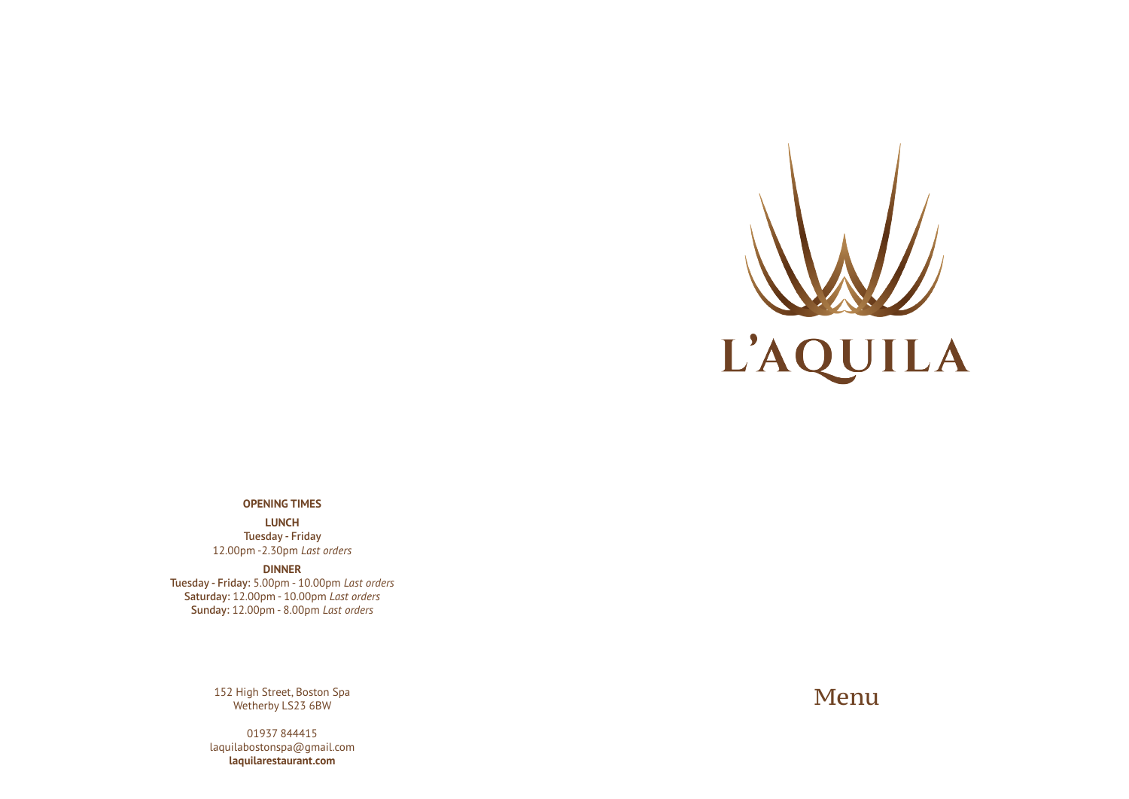Menu



#### **OPENING TIMES**

**LUNCH**  Tuesday - Friday 12.00pm -2.30pm *Last orders*

#### **DINNER**

Tuesday - Friday: 5.00pm - 10.00pm *Last orders* Saturday: 12.00pm - 10.00pm *Last orders* Sunday: 12.00pm - 8.00pm *Last orders*

> 152 High Street, Boston Spa Wetherby LS23 6BW

01937 844415 laquilabostonspa@gmail.com **laquilarestaurant.com**